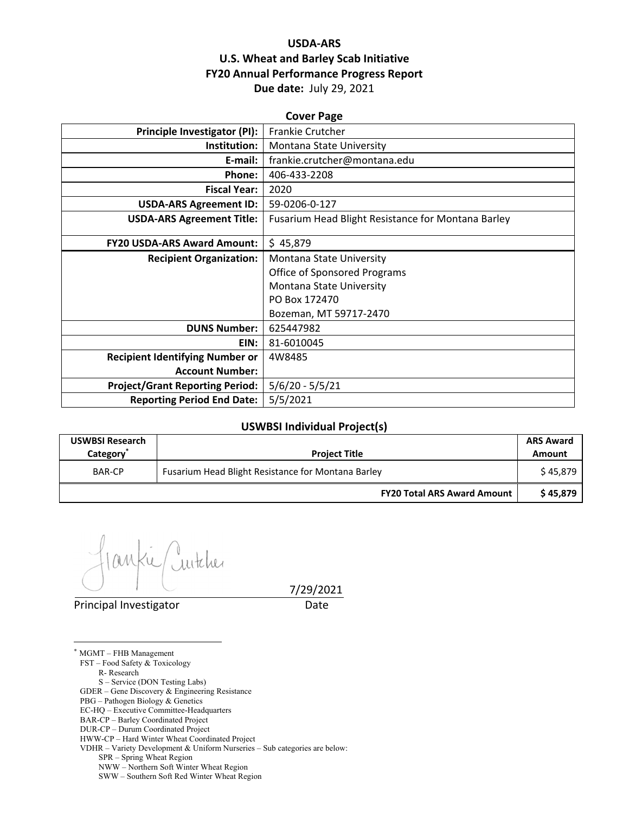# **USDA‐ARS U.S. Wheat and Barley Scab Initiative FY20 Annual Performance Progress Report Due date:** July 29, 2021

| <b>Cover Page</b>                      |                                                    |  |  |  |
|----------------------------------------|----------------------------------------------------|--|--|--|
| Principle Investigator (PI):           | <b>Frankie Crutcher</b>                            |  |  |  |
| Institution:                           | Montana State University                           |  |  |  |
| E-mail:                                | frankie.crutcher@montana.edu                       |  |  |  |
| Phone:                                 | 406-433-2208                                       |  |  |  |
| <b>Fiscal Year:</b>                    | 2020                                               |  |  |  |
| <b>USDA-ARS Agreement ID:</b>          | 59-0206-0-127                                      |  |  |  |
| <b>USDA-ARS Agreement Title:</b>       | Fusarium Head Blight Resistance for Montana Barley |  |  |  |
|                                        |                                                    |  |  |  |
| <b>FY20 USDA-ARS Award Amount:</b>     | \$45,879                                           |  |  |  |
| <b>Recipient Organization:</b>         | Montana State University                           |  |  |  |
|                                        | <b>Office of Sponsored Programs</b>                |  |  |  |
|                                        | Montana State University                           |  |  |  |
|                                        | PO Box 172470                                      |  |  |  |
|                                        | Bozeman, MT 59717-2470                             |  |  |  |
| <b>DUNS Number:</b>                    | 625447982                                          |  |  |  |
| EIN:                                   | 81-6010045                                         |  |  |  |
| <b>Recipient Identifying Number or</b> | 4W8485                                             |  |  |  |
| <b>Account Number:</b>                 |                                                    |  |  |  |
| <b>Project/Grant Reporting Period:</b> | $5/6/20 - 5/5/21$                                  |  |  |  |
| <b>Reporting Period End Date:</b>      | 5/5/2021                                           |  |  |  |

#### **USWBSI Individual Project(s)**

| <b>USWBSI Research</b><br>Category <sup>*</sup> | <b>Project Title</b>                               | <b>ARS Award</b><br>Amount |
|-------------------------------------------------|----------------------------------------------------|----------------------------|
| <b>BAR-CP</b>                                   | Fusarium Head Blight Resistance for Montana Barley |                            |
|                                                 | <b>FY20 Total ARS Award Amount</b>                 | \$45.879                   |

Juitcher M

Principal Investigator **Date** 

7/29/2021

\* MGMT – FHB Management

 $\overline{a}$ 

FST – Food Safety & Toxicology

 R- Research S – Service (DON Testing Labs)

GDER – Gene Discovery & Engineering Resistance

PBG – Pathogen Biology & Genetics

EC-HQ – Executive Committee-Headquarters

BAR-CP – Barley Coordinated Project

DUR-CP – Durum Coordinated Project

HWW-CP – Hard Winter Wheat Coordinated Project

VDHR – Variety Development & Uniform Nurseries – Sub categories are below:

SPR – Spring Wheat Region

NWW – Northern Soft Winter Wheat Region

SWW – Southern Soft Red Winter Wheat Region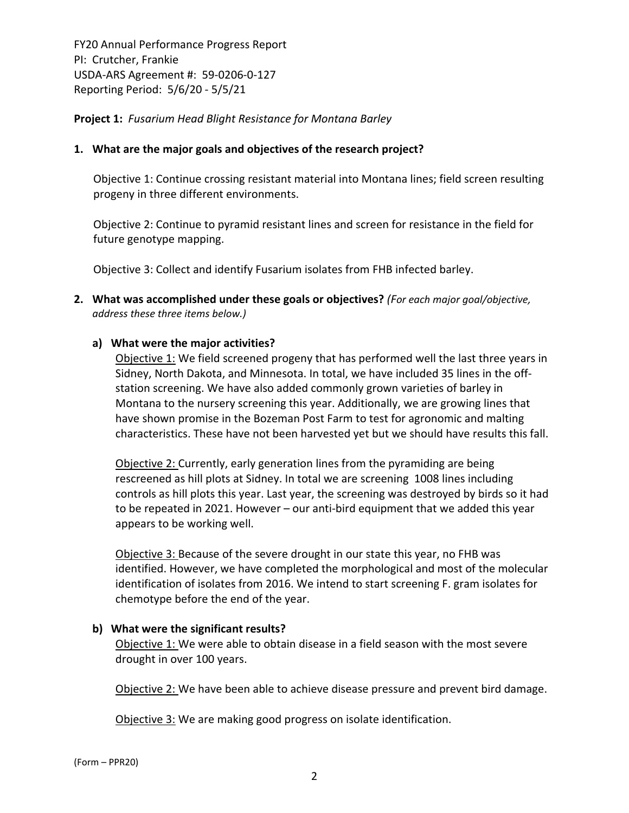**Project 1:** *Fusarium Head Blight Resistance for Montana Barley*

## **1. What are the major goals and objectives of the research project?**

Objective 1: Continue crossing resistant material into Montana lines; field screen resulting progeny in three different environments.

Objective 2: Continue to pyramid resistant lines and screen for resistance in the field for future genotype mapping.

Objective 3: Collect and identify Fusarium isolates from FHB infected barley.

**2. What was accomplished under these goals or objectives?** *(For each major goal/objective, address these three items below.)*

## **a) What were the major activities?**

Objective 1: We field screened progeny that has performed well the last three years in Sidney, North Dakota, and Minnesota. In total, we have included 35 lines in the off‐ station screening. We have also added commonly grown varieties of barley in Montana to the nursery screening this year. Additionally, we are growing lines that have shown promise in the Bozeman Post Farm to test for agronomic and malting characteristics. These have not been harvested yet but we should have results this fall.

Objective 2: Currently, early generation lines from the pyramiding are being rescreened as hill plots at Sidney. In total we are screening 1008 lines including controls as hill plots this year. Last year, the screening was destroyed by birds so it had to be repeated in 2021. However – our anti‐bird equipment that we added this year appears to be working well.

Objective 3: Because of the severe drought in our state this year, no FHB was identified. However, we have completed the morphological and most of the molecular identification of isolates from 2016. We intend to start screening F. gram isolates for chemotype before the end of the year.

#### **b) What were the significant results?**

Objective 1: We were able to obtain disease in a field season with the most severe drought in over 100 years.

Objective 2: We have been able to achieve disease pressure and prevent bird damage.

Objective 3: We are making good progress on isolate identification.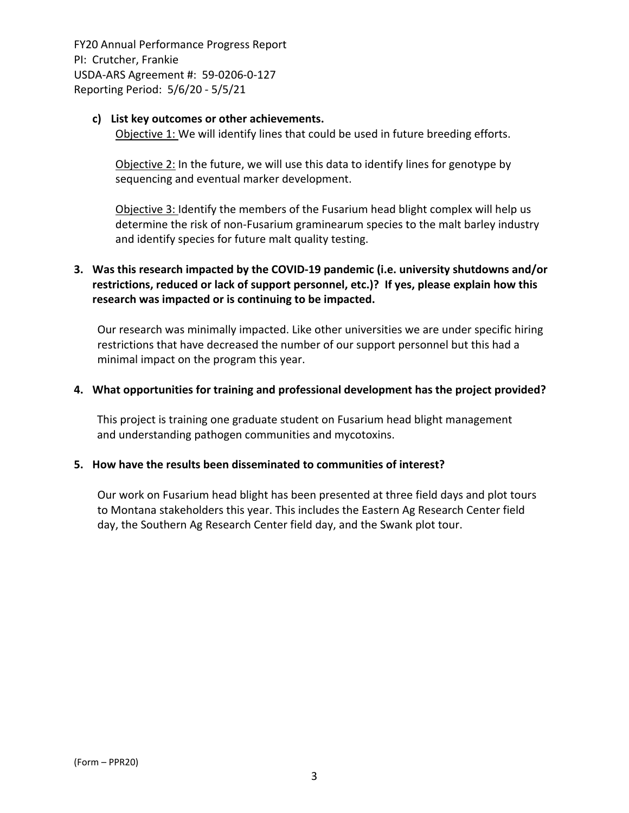#### **c) List key outcomes or other achievements.**

Objective 1: We will identify lines that could be used in future breeding efforts.

Objective 2: In the future, we will use this data to identify lines for genotype by sequencing and eventual marker development.

Objective 3: Identify the members of the Fusarium head blight complex will help us determine the risk of non‐Fusarium graminearum species to the malt barley industry and identify species for future malt quality testing.

# **3. Was this research impacted by the COVID‐19 pandemic (i.e. university shutdowns and/or restrictions, reduced or lack of support personnel, etc.)? If yes, please explain how this research was impacted or is continuing to be impacted.**

Our research was minimally impacted. Like other universities we are under specific hiring restrictions that have decreased the number of our support personnel but this had a minimal impact on the program this year.

## **4. What opportunities for training and professional development has the project provided?**

This project is training one graduate student on Fusarium head blight management and understanding pathogen communities and mycotoxins.

#### **5. How have the results been disseminated to communities of interest?**

Our work on Fusarium head blight has been presented at three field days and plot tours to Montana stakeholders this year. This includes the Eastern Ag Research Center field day, the Southern Ag Research Center field day, and the Swank plot tour.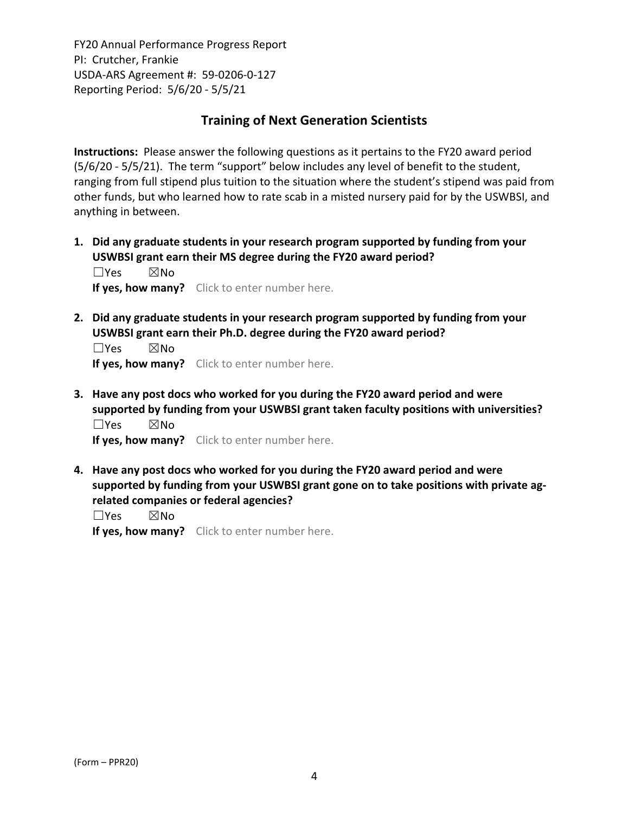# **Training of Next Generation Scientists**

**Instructions:** Please answer the following questions as it pertains to the FY20 award period (5/6/20 ‐ 5/5/21). The term "support" below includes any level of benefit to the student, ranging from full stipend plus tuition to the situation where the student's stipend was paid from other funds, but who learned how to rate scab in a misted nursery paid for by the USWBSI, and anything in between.

**1. Did any graduate students in your research program supported by funding from your USWBSI grant earn their MS degree during the FY20 award period?** ☐Yes ☒No

**If yes, how many?** Click to enter number here.

**2. Did any graduate students in your research program supported by funding from your USWBSI grant earn their Ph.D. degree during the FY20 award period?**

☐Yes ☒No **If yes, how many?** Click to enter number here.

**3. Have any post docs who worked for you during the FY20 award period and were supported by funding from your USWBSI grant taken faculty positions with universities?** ☐Yes ☒No

**If yes, how many?** Click to enter number here.

**4. Have any post docs who worked for you during the FY20 award period and were supported by funding from your USWBSI grant gone on to take positions with private ag‐ related companies or federal agencies?**

☐Yes ☒No

**If yes, how many?** Click to enter number here.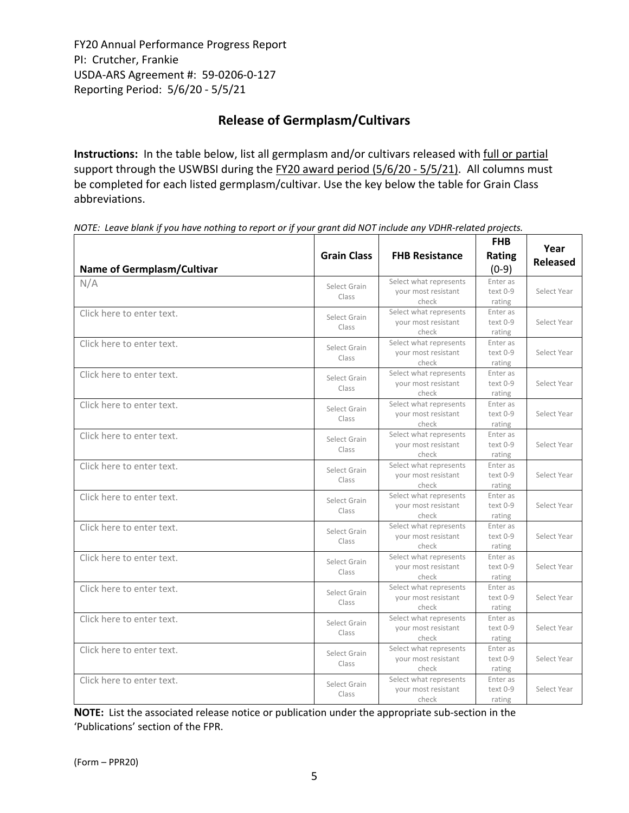# **Release of Germplasm/Cultivars**

**Instructions:** In the table below, list all germplasm and/or cultivars released with full or partial support through the USWBSI during the FY20 award period (5/6/20 - 5/5/21). All columns must be completed for each listed germplasm/cultivar. Use the key below the table for Grain Class abbreviations. 

NOTE: Leave blank if you have nothing to report or if your grant did NOT include any VDHR-related projects.

| <b>Name of Germplasm/Cultivar</b> | <b>Grain Class</b>    | <b>FHB Resistance</b>                                  | <b>FHB</b><br>Rating<br>$(0-9)$ | Year<br><b>Released</b> |
|-----------------------------------|-----------------------|--------------------------------------------------------|---------------------------------|-------------------------|
| N/A                               | Select Grain<br>Class | Select what represents<br>your most resistant<br>check | Enter as<br>text 0-9<br>rating  | Select Year             |
| Click here to enter text.         | Select Grain<br>Class | Select what represents<br>your most resistant<br>check | Enter as<br>text 0-9<br>rating  | Select Year             |
| Click here to enter text.         | Select Grain<br>Class | Select what represents<br>your most resistant<br>check | Enter as<br>text 0-9<br>rating  | Select Year             |
| Click here to enter text.         | Select Grain<br>Class | Select what represents<br>your most resistant<br>check | Enter as<br>text 0-9<br>rating  | Select Year             |
| Click here to enter text.         | Select Grain<br>Class | Select what represents<br>your most resistant<br>check | Enter as<br>text 0-9<br>rating  | Select Year             |
| Click here to enter text.         | Select Grain<br>Class | Select what represents<br>your most resistant<br>check | Enter as<br>text 0-9<br>rating  | Select Year             |
| Click here to enter text.         | Select Grain<br>Class | Select what represents<br>your most resistant<br>check | Enter as<br>text 0-9<br>rating  | Select Year             |
| Click here to enter text.         | Select Grain<br>Class | Select what represents<br>your most resistant<br>check | Enter as<br>text 0-9<br>rating  | Select Year             |
| Click here to enter text.         | Select Grain<br>Class | Select what represents<br>your most resistant<br>check | Enter as<br>text 0-9<br>rating  | Select Year             |
| Click here to enter text.         | Select Grain<br>Class | Select what represents<br>vour most resistant<br>check | Enter as<br>text 0-9<br>rating  | Select Year             |
| Click here to enter text.         | Select Grain<br>Class | Select what represents<br>your most resistant<br>check | Enter as<br>text 0-9<br>rating  | Select Year             |
| Click here to enter text.         | Select Grain<br>Class | Select what represents<br>your most resistant<br>check | Enter as<br>text 0-9<br>rating  | Select Year             |
| Click here to enter text.         | Select Grain<br>Class | Select what represents<br>your most resistant<br>check | Enter as<br>text 0-9<br>rating  | Select Year             |
| Click here to enter text.         | Select Grain<br>Class | Select what represents<br>your most resistant<br>check | Enter as<br>text 0-9<br>rating  | Select Year             |

**NOTE:** List the associated release notice or publication under the appropriate sub-section in the 'Publications' section of the FPR.